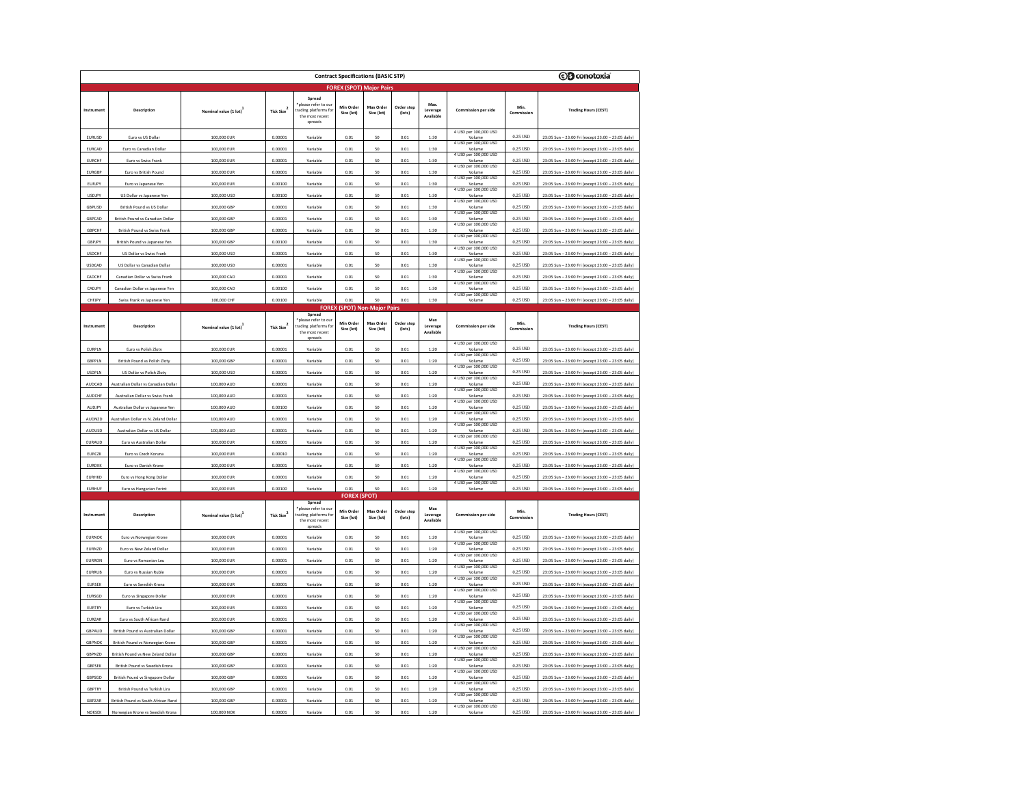| <b>OB</b> conotoxia<br><b>Contract Specifications (BASIC STP)</b> |                                                                        |                                    |                        |                                                                                    |                         |                                     |                      |                              |                                                          |                                    |                                                                                                          |
|-------------------------------------------------------------------|------------------------------------------------------------------------|------------------------------------|------------------------|------------------------------------------------------------------------------------|-------------------------|-------------------------------------|----------------------|------------------------------|----------------------------------------------------------|------------------------------------|----------------------------------------------------------------------------------------------------------|
|                                                                   | <b>FOREX (SPOT) Major Pairs</b>                                        |                                    |                        |                                                                                    |                         |                                     |                      |                              |                                                          |                                    |                                                                                                          |
| Instrum                                                           | Description                                                            | Nominal value (1 lot)              | Tick Size              | Spread<br>please refer to ou<br>ading platforms for<br>the most recent<br>spreads  | Min Order<br>Size (lot) | Max Order<br>Size (lot)             | Order step<br>(lots) | Leverage<br>Available        | Commission per side                                      | Min.<br>Commission                 | <b>Trading Hours (CEST)</b>                                                                              |
| EURUSD                                                            | Euro vs US Dollar                                                      | 100,000 EUR                        | 0.00001                | Variable                                                                           | 0.01                    | 50                                  | 0.01                 | 1:30                         | 4 USD per 100,000 USD<br>Volume                          | 0.25 USD                           | 23:05 Sun - 23:00 Fri (except 23:00 - 23:05 daily)                                                       |
| <b>FURCAD</b>                                                     | Euro ys Canadian Dollar                                                | 100,000 EUR                        | 0.00001                | Variable                                                                           | 0.01                    | 50                                  | 0.01                 | 1:30                         | 4 USD per 100,000 USD<br>Volum                           | 0.25 USD                           | 23:05 Sun - 23:00 Fri (except 23:00 - 23:05 daily)                                                       |
| <b>EURCHF</b>                                                     | Euro vs Swiss Frank                                                    | 100,000 EUR                        | 0.00001                | Variable                                                                           | 0.01                    | 50                                  | 0.01                 | 1:30                         | 4 USD per 100,000 USD<br>Volume                          | 0.25 USD                           | 23:05 Sun - 23:00 Fri (except 23:00 - 23:05 daily)                                                       |
| <b>EURGBP</b>                                                     | Euro vs British Pound                                                  | 100,000 EUR                        | 0.00001                | Variable                                                                           | 0.01                    | 50                                  | 0.01                 | 1:30                         | 4 USD per 100,000 USD<br>Volume<br>4 USD per 100,000 USD | 0.25 USD                           | 23:05 Sun - 23:00 Fri (except 23:00 - 23:05 daily)                                                       |
| EURJPY                                                            | Euro vs Japanese Yen                                                   | 100,000 EUR                        | 0.00100                | Variable                                                                           | 0.01                    | 50                                  | 0.01                 | 1:30                         | Volume<br>4 USD per 100,000 USD                          | 0.25 USD                           | 23:05 Sun - 23:00 Fri (except 23:00 - 23:05 daily)                                                       |
| <b>USDJPY</b>                                                     | US Dollar vs Japanese Yen                                              | 100,000 USD                        | 0.00100                | Variable                                                                           | 0.01                    | 50                                  | 0.01                 | 1:30                         | Volume<br>4 USD per 100,000 USD                          | 0.25 USD                           | 23:05 Sun - 23:00 Fri (except 23:00 - 23:05 daily)                                                       |
| GBPUSD                                                            | British Pound vs US Dollar                                             | 100,000 GBP                        | 0.00001                | Variable                                                                           | 0.01                    | 50                                  | 0.01                 | 1:30                         | Volume<br>4 USD per 100,000 USD                          | 0.25 USD                           | 23:05 Sun - 23:00 Fri (except 23:00 - 23:05 daily)                                                       |
| GBPCAD                                                            | British Pound vs Canadian Dolla                                        | 100,000 GBF                        | 0.00001                | Variable                                                                           | 0.01                    | 50                                  | 0.01                 | 1:30                         | 4 USD ner 100.000 USD                                    | 0.25 USD                           | 23:05 Sun - 23:00 Fri (except 23:00 -<br>23:05 daily                                                     |
| GBPCHF                                                            | British Pound vs Swiss Frank                                           | 100,000 GBP                        | 0.00001                | Variable                                                                           | 0.01                    | 50                                  | 0.01                 | 1:30                         | Volume<br>4 USD per 100,000 USD                          | $0.25~\mathrm{USD}$                | 23:05 Sun - 23:00 Fri (except 23:00 - 23:05 daily)                                                       |
| GBPJPY                                                            | British Pound vs Japanese Yen                                          | 100,000 GBP                        | 0.00100                | Variable                                                                           | 0.01                    | 50                                  | 0.01                 | 1:30                         | Volume<br>4 USD per 100,000 USD                          | 0.25 USD                           | 23:05 Sun - 23:00 Fri (except 23:00 - 23:05 daily)                                                       |
| <b>USDCHF</b>                                                     | US Dollar vs Swiss Frank                                               | 100,000 USD                        | 0.00001                | Variabl                                                                            | 0.01                    | 50                                  | 0.01                 | 1:30                         | Volume<br>4 USD per 100,000 USD                          | 0.25 USD                           | 23:05 Sun - 23:00 Fri (except 23:00 - 23:05 daily)                                                       |
| <b>USDCAD</b>                                                     | US Dollar vs Canadian Dollar                                           | 100,000 USD                        | 0.00001                | Variable                                                                           | 0.01                    | 50                                  | 0.01                 | 1:30                         | Volume<br>4 USD per 100,000 USD                          | 0.25 USD                           | 23:05 Sun - 23:00 Fri (except 23:00 - 23:05 daily)                                                       |
| CADCHE<br>CADJP                                                   | Canadian Dollar vs Swiss Frank                                         | 100,000 CAD                        | 0.00001<br>0.00100     | Variable<br>Variable                                                               | 0.01<br>0.01            | 50<br>50                            | 0.01<br>0.01         | 1:30<br>1:30                 | Volume<br>4 USD per 100,000 USD                          | 0.25 USD<br>0.25 USD               | 23:05 Sun - 23:00 Fri (except 23:00 - 23:05 daily)<br>23:05 Sun - 23:00 Fri (except 23:00 - 23:05 daily  |
| CHEJPY                                                            | Canadian Dollar vs Japanese Yen                                        | 100,000 CAD<br>100,000 CHF         | 0.00100                |                                                                                    | 0.01                    | 50                                  | 0.01                 | 1:30                         | Volume<br>4 USD per 100,000 USD                          | 0.25 USD                           | 23:05 Sun - 23:00 Fri (except 23:00 - 23:05 daily)                                                       |
|                                                                   | Swiss Frank vs Japanese Yer                                            |                                    |                        | Variable                                                                           |                         | <b>FOREX (SPOT) Non-Major Pairs</b> |                      |                              | Volume                                                   |                                    |                                                                                                          |
| Instrument                                                        | Description                                                            | Nominal value (1 lot) <sup>1</sup> | Tick Size <sup>2</sup> | Spread<br>blease refer to ou<br>rading platforms for<br>the most recent<br>spreads | Min Order<br>Size (lot) | Max Order<br>Size (lot)             | Order step<br>(lots) | Max<br>Leverage<br>Available | <b>Commission per side</b><br>4 USD per 100,000 USD      | Min.<br>Commission                 | <b>Trading Hours (CEST)</b>                                                                              |
| EURPLN                                                            | Euro vs Polish Zloty                                                   | 100,000 EUR                        | 0.00001                | Variabl                                                                            | 0.01                    | 50                                  | 0.01                 | 1:20                         | Volum<br>4 USD per 100,000 USD                           | 0.25 USD                           | 23:05 Sun - 23:00 Fri (except 23:00 - 23:05 daily)                                                       |
| GBPPLN                                                            | British Pound vs Polish Zloty                                          | 100,000 GBP                        | 0.00001                | Variable                                                                           | 0.01                    | 50                                  | 0.01                 | 1:20                         | Volume<br>4 USD per 100,000 USD                          | 0.25 USD                           | 23:05 Sun - 23:00 Fri (except 23:00 - 23:05 daily)                                                       |
| <b>USDPLN</b>                                                     | US Dollar vs Polish Zloty                                              | 100,000 USD                        | 0.00001                | Variable                                                                           | 0.01                    | 50                                  | 0.01                 | 1:20                         | Volume<br>4 USD per 100,000 USD                          | 0.25 USD                           | 23:05 Sun - 23:00 Fri (except 23:00 - 23:05 daily)                                                       |
| AUDCAD                                                            | Australian Dollar vs Canadian Dollar                                   | 100,000 AUD                        | 0.00001                | Variabl                                                                            | 0.01                    | 50                                  | 0.01                 | 1:20                         | Volume<br>4 USD per 100,000 USD                          | 0.25 USD                           | 23:05 Sun - 23:00 Fri (except 23:00 - 23:05 daily)                                                       |
| <b>AUDCHF</b>                                                     | Australian Dollar vs Swiss Frank                                       | 100,000 AUD                        | 0.00001                | Variable                                                                           | 0.01                    | 50                                  | 0.01                 | 1:20                         | Volume<br>4 USD per 100,000 USD                          | 0.25 USD                           | 23:05 Sun - 23:00 Fri (except 23:00 - 23:05 daily)                                                       |
| AUDJPY                                                            | Australian Dollar vs Japanese Yen                                      | 100,000 AUD                        | 0.00100                | Variable                                                                           | 0.01                    | 50                                  | 0.01                 | 1:20                         | Volum<br>4 USD per 100,000 USD                           | 0.25 USD                           | 23:05 Sun - 23:00 Fri (except 23:00 - 23:05 daily)                                                       |
| AUDNZD                                                            | Australian Dollar vs N. Zeland Dollar                                  | 100,000 AUD                        | 0.00001                | Variable                                                                           | 0.01                    | 50<br>50                            | 0.01<br>0.01         | 1:20<br>1:20                 | Volume<br>4 USD per 100,000 USD                          | 0.25 USD<br>0.25 USD               | 23:05 Sun - 23:00 Fri (except 23:00 - 23:05 daily)                                                       |
| <b>AUDUSD</b><br>EURAUD                                           | Australian Dollar vs US Dollar<br>Euro vs Australian Dollar            | 100,000 AUD<br>100,000 EUR         | 0.00001<br>0.00001     | Variable<br>Variable                                                               | 0.01<br>0.01            | 50                                  | 0.01                 | 1:20                         | Volume<br>4 USD per 100,000 USD<br>Volume                | 0.25 USD                           | 23:05 Sun - 23:00 Eri (excent 23:00 - 23:05 daily)<br>23:05 Sun - 23:00 Fri (except 23:00 - 23:05 daily) |
| <b>EURCZK</b>                                                     | Euro vs Czech Koruna                                                   | 100,000 EUR                        | 0.00010                | Variable                                                                           | 0.01                    | 50                                  | 0.01                 | 1:20                         | 4 USD per 100,000 USD<br>Volume                          | 0.25 USD                           | 23:05 Sun - 23:00 Fri (except 23:00 - 23:05 daily)                                                       |
| <b>FURDKK</b>                                                     | Euro vs Danish Krone                                                   | 100,000 EUR                        | 0.00001                | Variable                                                                           | 0.01                    | 50                                  | 0.01                 | 1:20                         | 4 USD per 100,000 USD<br>Volume                          | 0.25 USD                           | 23:05 Sun - 23:00 Fri (except 23:00 - 23:05 daily)                                                       |
| EURHKD                                                            | Euro vs Hong Kong Dollar                                               | 100,000 EUR                        | 0.00001                | Variable                                                                           | 0.01                    | 50                                  | 0.01                 | 1:20                         | 4 USD per 100,000 USD<br>Volume                          | 0.25 USD                           | 23:05 Sun - 23:00 Fri (except 23:00 - 23:05 daily)                                                       |
| <b>EURHUF</b>                                                     | Euro ys Hungarian Forint                                               | 100,000 EUR                        | 0.00100                | Variable                                                                           | 0.01                    | 50                                  | 0.01                 | 1:20                         | 4 USD per 100,000 USD<br>Volume                          | 0.25 USD                           | 23:05 Sun - 23:00 Fri (except 23:00 - 23:05 daily)                                                       |
|                                                                   | <b>FOREX (SPOT)</b>                                                    |                                    |                        |                                                                                    |                         |                                     |                      |                              |                                                          |                                    |                                                                                                          |
| Instrument                                                        | Description                                                            | Nominal value (1 lot)              | Tick Size <sup>2</sup> | Spread<br>please refer to our<br>rading platforms for<br>the most recent<br>spread | Min Order<br>Size (lot) | Max Orde<br>Size (lot)              | Order step<br>(lots) | Max<br>Leverage<br>Available | <b>Commission per side</b><br>4 USD per 100,000 USD      | Min.<br>Commission                 | <b>Trading Hours (CEST)</b>                                                                              |
| EURNOK                                                            | Euro vs Norwegian Krone                                                | 100,000 EUR                        | 0.00001                | Variable                                                                           | 0.01                    | 50                                  | 0.01                 | 1:20                         | Volume<br>4 USD per 100,000 USD                          | 0.25 USD                           | 23:05 Sun - 23:00 Fri (except 23:00 - 23:05 daily)                                                       |
| EURNZD                                                            | Euro vs New Zeland Dollar                                              | 100,000 EUR                        | 0.00001                | Variable                                                                           | 0.01                    | 50                                  | 0.01                 | 1:20                         | Volume<br>4 USD per 100,000 USD                          | 0.25 USD                           | 23:05 Sun - 23:00 Fri (except 23:00 - 23:05 daily)                                                       |
| EURRON                                                            | Euro vs Romanian Leu                                                   | 100,000 EUR                        | 0.00001                | Variable                                                                           | 0.01                    | 50                                  | 0.01                 | 1:20                         | Volume<br>4 USD per 100,000 USD                          | 0.25 USD                           | 23:05 Sun - 23:00 Fri (except 23:00 - 23:05 daily)                                                       |
| <b>EURRUB</b>                                                     | Euro vs Russian Ruble                                                  | 100,000 EUR                        | 0.00001                | Variable                                                                           | $_{0.01}$               | 50                                  | 0.01                 | 1:20                         | Volume<br>4 USD per 100,000 USD                          | 0.25 USD                           | 23:05 Sun - 23:00 Fri (except 23:00 - 23:05 daily)                                                       |
| <b>EURSEK</b>                                                     | Euro vs Swedish Krona                                                  | 100,000 EUR                        | 0.00001                | Variable                                                                           | 0.01                    | 50                                  | 0.01                 | 1:20                         | Volume<br>4 USD per 100,000 USD                          | 0.25 USD                           | 23:05 Sun - 23:00 Fri (except 23:00 - 23:05 daily)                                                       |
| EURSGD                                                            | Euro vs Singapore Dollar                                               | 100,000 EUR                        | 0.00001                | Variable                                                                           | 0.01                    | 50                                  | 0.01                 | 1:20                         | Volume<br>4 USD per 100,000 USD                          | 0.25 USD                           | 23:05 Sun - 23:00 Fri (except 23:00 - 23:05 daily)                                                       |
| EURTRY                                                            | Euro vs Turkish Lira                                                   | 100,000 EUR                        | 0.00001                | Variable                                                                           | 0.01                    | 50                                  | 0.01                 | 1:20                         | Volume<br>4 USD per 100,000 USD                          | 0.25 USD                           | 23:05 Sun - 23:00 Fri (except 23:00 - 23:05 daily)                                                       |
| EURZAR                                                            | Euro vs South African Rand                                             | 100,000 EUR<br>100,000 GBF         | 0.00001<br>0.00001     | Variable                                                                           | 0.01<br>0.01            | 50<br>50                            | 0.01<br>0.01         | 1:20<br>1:20                 | Volume<br>4 USD per 100,000 USD                          | 0.25 USD<br>$0.25 \, \mathrm{USD}$ | 23:05 Sun - 23:00 Fri (except 23:00 - 23:05 daily)                                                       |
| GBPAUD                                                            | British Pound vs Australian Dolla                                      |                                    |                        | Variabl                                                                            |                         |                                     |                      |                              | Volume<br>4 USD per 100,000 USD                          | 0.25 USD                           | 23:05 Sun - 23:00 Fri (except 23:00 - 23:05 daily)                                                       |
| GBPNOK<br>GBPNZD                                                  | British Pound vs Norwegian Krone<br>British Pound vs New Zeland Dollar | 100,000 GBP<br>100,000 GBP         | 0.00001<br>0.00001     | Variable<br>Variable                                                               | 0.01<br>0.01            | 50<br>50                            | 0.01<br>0.01         | 1:20<br>1:20                 | Volume<br>4 USD per 100,000 USD<br>Volume                | 0.25 USD                           | 23:05 Sun - 23:00 Fri (except 23:00 - 23:05 daily)<br>23:05 Sun - 23:00 Fri (except 23:00 - 23:05 daily) |
| GBPSEK                                                            | British Pound vs Swedish Krona                                         | 100,000 GBP                        | 0.00001                | Variable                                                                           | 0.01                    | 50                                  | 0.01                 | 1:20                         | 4 USD per 100,000 USD<br>Volume                          | 0.25 USD                           | 23:05 Sun - 23:00 Fri (except 23:00 - 23:05 daily)                                                       |
| GRPSGD                                                            | British Pound ys Singapore Dollar                                      | 100,000 GBP                        | 0.00001                | Variable                                                                           | 0.01                    | 50                                  | 0.01                 | 1:20                         | 4 USD per 100,000 USD<br>Volume                          | 0.25 USD                           | 23:05 Sun - 23:00 Fri (except 23:00 - 23:05 daily)                                                       |
| GBPTRY                                                            | British Pound vs Turkish Lira                                          | 100,000 GBP                        | 0.00001                | Variable                                                                           | 0.01                    | 50                                  | 0.01                 | 1:20                         | 4 USD per 100,000 USD<br>Volume                          | 0.25 USD                           | 23:05 Sun - 23:00 Fri (except 23:00 - 23:05 daily)                                                       |
| GBPZAR                                                            | British Pound vs South African Rand                                    | 100,000 GBP                        | 0.00001                | Variable                                                                           | 0.01                    | 50                                  | 0.01                 | 1:20                         | 4 USD per 100,000 USD<br>Volume                          | 0.25 USD                           | 23:05 Sun - 23:00 Fri (except 23:00 - 23:05 daily)                                                       |
| NOKSEK                                                            | Norwegian Krone vs Swedish Krona                                       | 100,000 NOK                        | 0.00001                | Variable                                                                           | 0.01                    | 50                                  | 0.01                 | 1:20                         | 4 USD per 100,000 USD<br>Volume                          | 0.25 USD                           | 23:05 Sun - 23:00 Fri (except 23:00 - 23:05 daily)                                                       |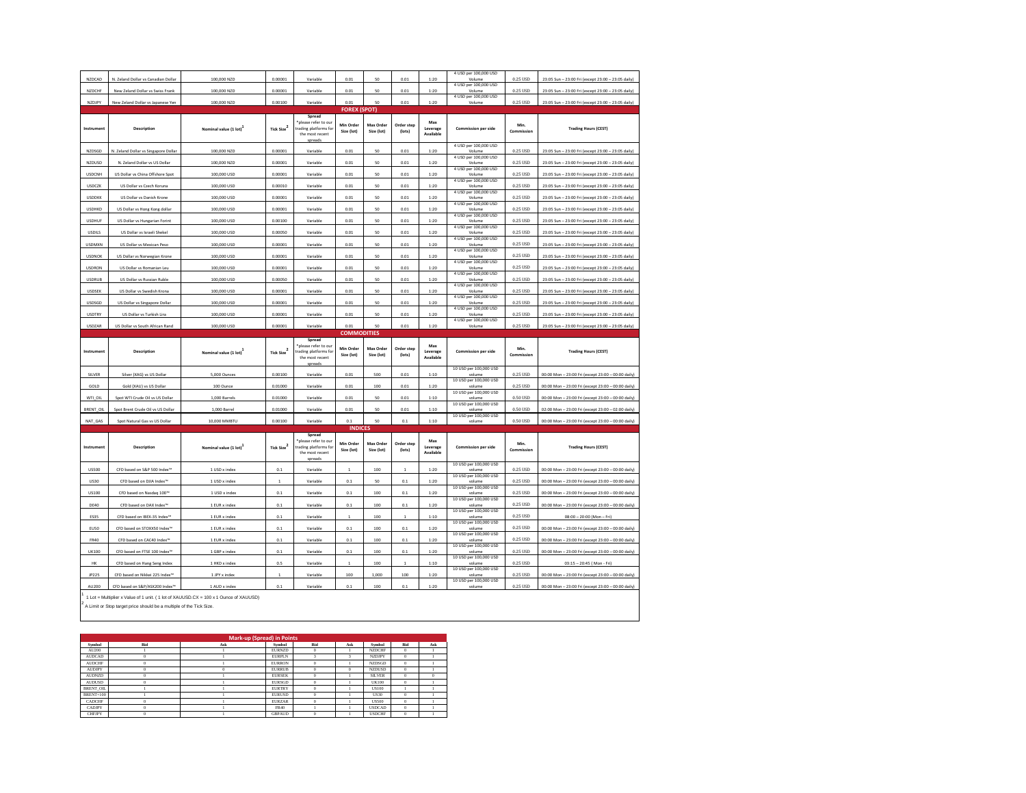| NZDCAD               | N. Zeland Dollar vs Canadian Dollar                                   | 100,000 NZD                                                                                            | 0.00001                | Variable                                                                              | 0.01                                      | 50                      | 0.01                 | 1:20                         | 4 USD per 100,000 USD<br>Volume  | 0.25 USD             | 23:05 Sun - 23:00 Fri (except 23:00 - 23:05 daily)                                                       |
|----------------------|-----------------------------------------------------------------------|--------------------------------------------------------------------------------------------------------|------------------------|---------------------------------------------------------------------------------------|-------------------------------------------|-------------------------|----------------------|------------------------------|----------------------------------|----------------------|----------------------------------------------------------------------------------------------------------|
| NZDCHF               | New Zeland Dollar vs Swiss Frank                                      | 100,000 NZD                                                                                            | 0.00001                | Variable                                                                              | 0.01                                      | 50                      | 0.01                 | 1:20                         | 4 USD per 100,000 USD<br>Volume  | 0.25 USD             | 23:05 Sun - 23:00 Fri (except 23:00 - 23:05 daily)                                                       |
| NZDJPY               | New Zeland Dollar vs Japanese Yen                                     | 100,000 NZD                                                                                            | 0.00100                | Variable                                                                              | 0.01                                      | 50                      | 0.01                 | 1:20                         | 4 USD per 100,000 USD<br>Volume  | 0.25 USD             | 23:05 Sun - 23:00 Fri (except 23:00 - 23:05 daily)                                                       |
|                      |                                                                       |                                                                                                        |                        |                                                                                       | <b>FOREX (SPOT)</b>                       |                         |                      |                              |                                  |                      |                                                                                                          |
| Instrument           | Description                                                           | Nominal value (1 lot)                                                                                  | Tick Size <sup>2</sup> | Spread<br>blease refer to our<br>trading platforms for<br>the most recent<br>spreads  | Min Order<br>Size (lot)                   | Max Order<br>Size (lot) | Order step<br>(lots) | Max<br>Leverage<br>Available | <b>Commission per side</b>       | Min.<br>Commission   | <b>Trading Hours (CEST)</b>                                                                              |
| NZDSGD               | N. Zeland Dollar vs Singapore Dollar                                  | 100,000 NZD                                                                                            | 0.00001                | Variable                                                                              | 0.01                                      | 50                      | 0.01                 | 1:20                         | 4 USD per 100,000 USD<br>Volume  | 0.25 USD             | 23:05 Sun - 23:00 Fri (except 23:00 - 23:05 daily)                                                       |
| NZDUSD               | N. Zeland Dollar vs US Dollar                                         | 100,000 NZD                                                                                            | 0.00001                | Variable                                                                              | 0.01                                      | 50                      | 0.01                 | 1:20                         | 4 USD per 100,000 USD<br>Volume  | 0.25 USD             | 23:05 Sun - 23:00 Fri (except 23:00 - 23:05 daily)                                                       |
| <b>USDCNH</b>        | US Dollar vs China Offshore Spot                                      | 100,000 USD                                                                                            | 0.00001                | Variable                                                                              | 0.01                                      | 50                      | 0.01                 | 1:20                         | 4 USD per 100,000 USD<br>Volume  | 0.25 USD             | 23:05 Sun - 23:00 Fri (except 23:00 - 23:05 daily)                                                       |
| <b>USDCZK</b>        | US Dollar vs Czech Koruna                                             | 100,000 USD                                                                                            | 0.00010                | Variable                                                                              | 0.01                                      | 50                      | 0.01                 | 1:20                         | 4 USD per 100,000 USD<br>Volume  | 0.25 USD             | 23:05 Sun - 23:00 Fri (except 23:00 - 23:05 daily)                                                       |
| <b>USDDKK</b>        | US Dollar vs Danish Krone                                             | 100,000 USD                                                                                            | 0.00001                | Variable                                                                              | 0.01                                      | 50                      | 0.01                 | 1:20                         | 4 USD per 100,000 USD<br>Volume  | 0.25 USD             | 23:05 Sun - 23:00 Fri (except 23:00 - 23:05 daily)                                                       |
| <b>USDHKD</b>        | US Dollar vs Hong Kong dollar                                         | 100,000 USD                                                                                            | 0.00001                | Variable                                                                              | 0.01                                      | 50                      | 0.01                 | 1:20                         | 4 USD per 100,000 USD<br>Volume  | 0.25 USD             | 23:05 Sun - 23:00 Fri (except 23:00 - 23:05 daily)                                                       |
| <b>USDHUF</b>        | US Dollar vs Hungarian Forint                                         | 100,000 USD                                                                                            | 0.00100                | Variable                                                                              | 0.01                                      | 50                      | 0.01                 | 1:20                         | 4 USD per 100,000 USD<br>Volume  | 0.25 USD             | 23:05 Sun - 23:00 Fri (except 23:00 - 23:05 daily)                                                       |
| <b>USDILS</b>        | US Dollar vs Israeli Shekel                                           | 100,000 USD                                                                                            | 0.00050                | Variable                                                                              | 0.01                                      | 50                      | 0.01                 | 1:20                         | 4 USD per 100,000 USD<br>Volume  | 0.25 USD             | 23:05 Sun - 23:00 Fri (except 23:00 - 23:05 daily)                                                       |
| <b>USDMXN</b>        | US Dollar vs Mexican Peso                                             | 100,000 USD                                                                                            | 0.00001                | Variable                                                                              | 0.01                                      | 50                      | 0.01                 | 1:20                         | 4 USD per 100,000 USD<br>Volume  | 0.25 USD             | 23:05 Sun - 23:00 Fri (except 23:00 - 23:05 daily)                                                       |
| <b>USDNOK</b>        | US Dollar vs Norwegian Krone                                          | 100,000 USD                                                                                            | 0.00001                | Variable                                                                              | 0.01                                      | 50                      | 0.01                 | 1:20                         | 4 USD per 100,000 USD<br>Volume  | 0.25 USD             | 23:05 Sun - 23:00 Fri (except 23:00 - 23:05 daily)                                                       |
| <b>LISDRON</b>       | US Dollar vs Romanian Leu                                             | 100,000 USD                                                                                            | 0.00001                | Variable                                                                              | 0.01                                      | 50                      | 0.01                 | 1:20                         | 4 USD per 100,000 USD<br>Volume  | 0.25 USD             | 23:05 Sun - 23:00 Fri (except 23:00 - 23:05 daily)                                                       |
| <b>USDRUB</b>        | US Dollar vs Russian Ruble                                            | 100,000 USD                                                                                            | 0.00050                | Variable                                                                              | 0.01                                      | 50                      | 0.01                 | 1:20                         | 4 USD per 100,000 USD<br>Volume  | 0.25 USD             | 23:05 Sun - 23:00 Fri (except 23:00 - 23:05 daily)                                                       |
| <b>USDSEK</b>        | US Dollar vs Swedish Krona                                            | 100,000 USD                                                                                            | 0.00001                | Variable                                                                              | 0.01                                      | 50                      | 0.01                 | 1:20                         | 4 USD per 100,000 USD<br>Volume  | 0.25 USD             | 23:05 Sun - 23:00 Fri (except 23:00 - 23:05 daily)                                                       |
| <b>USDSGD</b>        | US Dollar vs Singapore Dollar                                         | 100,000 USD                                                                                            | 0.00001                | Variable                                                                              | 0.01                                      | 50                      | 0.01                 | 1:20                         | 4 USD per 100,000 USD<br>Volume  | 0.25 USD             | 23:05 Sun - 23:00 Fri (except 23:00 - 23:05 daily)                                                       |
| <b>USDTRY</b>        | US Dollar vs Turkish Lira                                             | 100,000 USD                                                                                            | 0.00001                | Variable                                                                              | 0.01                                      | 50                      | 0.01                 | 1:20                         | 4 USD per 100,000 USD<br>Volume  | 0.25 USD             | 23:05 Sun - 23:00 Fri (except 23:00 - 23:05 daily)                                                       |
| USDZAR               | US Dollar vs South African Rand                                       | 100,000 USD                                                                                            | 0.00001                | Variable                                                                              | 0.01                                      | 50                      | 0.01                 | 1:20                         | 4 USD per 100,000 USD<br>Volume  | 0.25 USD             | 23:05 Sun - 23:00 Fri (except 23:00 - 23:05 daily)                                                       |
|                      | <b>COMMODITIES</b>                                                    |                                                                                                        |                        |                                                                                       |                                           |                         |                      |                              |                                  |                      |                                                                                                          |
|                      |                                                                       |                                                                                                        |                        |                                                                                       |                                           |                         |                      |                              |                                  |                      |                                                                                                          |
| Instrument           | Description                                                           | Nominal value (1 lot)                                                                                  | Tick Size <sup>2</sup> | Spread<br>*please refer to our<br>trading platforms for<br>the most recent<br>spreads | Min Order<br>Size (lot)                   | Max Order<br>Size (lot) | Order step<br>(lots) | Max<br>Leverage<br>Available | Commission per side              | Min.<br>Commission   | <b>Trading Hours (CEST)</b>                                                                              |
| SILVER               | Silver (XAG) vs US Dollar                                             | 5.000 Ounces                                                                                           | 0.00100                | Variable                                                                              | 0.01                                      | 500                     | 0.01                 | 1:10                         | 10 USD per 100,000 USD<br>volume | 0.25 USD             | 00:00 Mon - 23:00 Fri (except 23:00 - 00:00 daily)                                                       |
| GOLD                 | Gold (XAU) vs US Dollar                                               | 100 Ounce                                                                                              | 0.01000                | Variable                                                                              | 0.01                                      | 100                     | 0.01                 | 1:20                         | 10 USD per 100,000 USD<br>volume | 0.25 USD             | 00:00 Mon - 23:00 Fri (except 23:00 - 00:00 daily)                                                       |
| WTI OIL              | Spot WTI Crude Oil vs US Dollar                                       | 1.000 Barrels                                                                                          | 0.01000                | Variable                                                                              | 0.01                                      | 50                      | 0.01                 | 1:10                         | 10 USD per 100,000 USD<br>volume | 0.50 USD             |                                                                                                          |
|                      |                                                                       |                                                                                                        |                        |                                                                                       |                                           | 50                      |                      |                              | 10 USD per 100,000 USD<br>volume | 0.50 USD             | 00:00 Mon - 23:00 Fri (except 23:00 - 00:00 daily)                                                       |
| BRENT_OIL<br>NAT GAS | Spot Brent Crude Oil vs US Dollar<br>Spot Natural Gas vs US Dollar    | 1,000 Barrel<br>10.000 MMBTU                                                                           | 0.01000<br>0.00100     | Variable<br>Variable                                                                  | 0.01<br>0.1                               | 50                      | 0.01<br>0.1          | 1:10<br>1:10                 | 10 USD per 100,000 USD<br>volume | 0.50 USD             | 02:00 Mon - 23:00 Fri (except 23:00 - 02:00 daily)<br>00:00 Mon - 23:00 Fri (except 23:00 - 00:00 daily) |
| Instrument           | Description                                                           | Nominal value (1 lot)                                                                                  | Tick Size $^2$         | Spread<br>please refer to our<br>trading platforms for<br>the most recent<br>spreads  | <b>INDICES</b><br>Min Order<br>Size (lot) | Max Order<br>Size (lot) | Order step<br>(lots) | Max<br>Leverage<br>Available | <b>Commission per side</b>       | Min<br>Commission    | <b>Trading Hours (CEST)</b>                                                                              |
| <b>US500</b>         | CFD based on S&P 500 Index™                                           | 1 USD x index                                                                                          | 0.1                    | Variable                                                                              |                                           | 100                     | $\overline{1}$       | 1:20                         | 10 USD per 100,000 USD<br>volume | 0.25 USD             | 00:00 Mon - 23:00 Fri (except 23:00 - 00:00 daily)                                                       |
| <b>US30</b>          | CFD based on DJIA Index <sup>16</sup>                                 | 1 USD x index                                                                                          | $\mathbf{1}$           | Variable                                                                              | 0.1                                       | 50                      | 0.1                  | 1:20                         | 10 USD per 100,000 USD<br>volume | 0.25 USD             | 00:00 Mon - 23:00 Fri (except 23:00 - 00:00 daily)                                                       |
|                      |                                                                       |                                                                                                        |                        |                                                                                       |                                           |                         |                      |                              | 10 USD per 100,000 USD<br>volume |                      |                                                                                                          |
| <b>US100</b><br>DE40 | CFD based on Nasdaq 100™<br>CFD based on DAX Index <sup>166</sup>     | 1 USD x index<br>1 EUR x index                                                                         | $0.1\,$<br>0.1         | Variable<br>Variable                                                                  | $0.1\,$<br>0.1                            | 100<br>100              | $0.1\,$<br>0.1       | 1:20<br>1:20                 | 10 USD per 100,000 USD<br>volume | 0.25 USD<br>0.25 USD | 00:00 Mon - 23:00 Fri (except 23:00 - 00:00 daily)<br>00:00 Mon - 23:00 Fri (except 23:00 - 00:00 daily) |
| <b>ES35</b>          | CFD based on IBEX-35 Index <sup>16</sup>                              | 1 EUR x index                                                                                          | 0.1                    | Variable                                                                              | $\overline{1}$                            | 100                     | 1                    | 1:10                         | 10 USD per 100,000 USD<br>volume | 0.25115D             | 08:00 - 20:00 (Mon - Fri)                                                                                |
|                      |                                                                       |                                                                                                        |                        |                                                                                       |                                           |                         |                      |                              | 10 USD per 100,000 USD<br>volume | 0.25 USD             |                                                                                                          |
| <b>EU50</b><br>FR40  | CFD based on STOXX50 Index™<br>CFD based on CAC40 Index <sup>16</sup> | 1 EUR x index<br>1 EUR x index                                                                         | 0.1<br>0.1             | Variable<br>Variable                                                                  | $0.1\,$<br>0.1                            | 100<br>100              | 0.1<br>0.1           | 1:20<br>1:20                 | 10 USD per 100,000 USD<br>volume | 0.25 USD             | 00:00 Mon - 23:00 Fri (except 23:00 - 00:00 daily)                                                       |
|                      |                                                                       |                                                                                                        | 0.1                    |                                                                                       | 0.1                                       | 100                     | 0.1                  |                              | 10 USD per 100,000 USD<br>volume |                      | 00:00 Mon - 23:00 Fri (except 23:00 - 00:00 daily)                                                       |
| UK100<br>HK          | CFD based on FTSE 100 Index™                                          | 1 GBP x index<br>1 HKD x index                                                                         | 0.5                    | Variable<br>Variable                                                                  | $\overline{1}$                            | 100                     | $\overline{1}$       | 1:20<br>1:10                 | 10 USD per 100,000 USD<br>volume | 0.25 USD<br>0.25115D | 00:00 Mon - 23:00 Fri (except 23:00 - 00:00 daily)<br>03:15 - 20:45 ( Mon - Fri)                         |
|                      | CFD based on Hang Seng Index                                          |                                                                                                        |                        |                                                                                       |                                           |                         |                      |                              | 10 USD per 100,000 USD           |                      |                                                                                                          |
| JP225                | CFD based on Nikkei 225 Index™                                        | 1 JPY x index                                                                                          | $\,$ 1 $\,$            | Variable                                                                              | 100                                       | 1,000                   | 100                  | 1:20                         | volume<br>10 USD per 100,000 USD | 0.25 USD             | 00:00 Mon - 23:00 Fri (except 23:00 - 00:00 daily)                                                       |
| AU200                | CFD based on S&P/ASX200 Index™                                        | 1 AUD x index<br>1 Lot = Multiplier x Value of 1 unit. ( 1 lot of XAUUSD.CX = 100 x 1 Ounce of XAUUSD) | 0.1                    | Variable                                                                              | 0.1                                       | 100                     | 0.1                  | 1:20                         | volume                           | 0.25 USD             | 00:00 Mon - 23:00 Fri (except 23:00 - 00:00 daily)                                                       |

| <b>Mark-up (Spread) in Points</b> |          |     |               |            |     |               |            |            |  |  |
|-----------------------------------|----------|-----|---------------|------------|-----|---------------|------------|------------|--|--|
| Symbol                            | Bid      | Ask | Symbol        | <b>Bid</b> | Ask | Symbol        | <b>Bid</b> | Ask        |  |  |
| AU200                             |          |     | <b>EURNZD</b> | $\Omega$   |     | <b>NZDCHF</b> | $\theta$   |            |  |  |
| <b>AUDCAD</b>                     | o        |     | <b>EURPLN</b> |            |     | <b>NZDJPY</b> | $\theta$   |            |  |  |
| <b>AUDCHF</b>                     | o        |     | <b>EURRON</b> | $\Omega$   |     | <b>NZDSGD</b> | $\theta$   |            |  |  |
| <b>AUDJPY</b>                     |          |     | <b>EURRUB</b> | $\Omega$   | 0   | <b>NZDUSD</b> | $\theta$   |            |  |  |
| <b>AUDNZD</b>                     | o        |     | <b>EURSEK</b> | $\Omega$   |     | <b>SILVER</b> | $\theta$   | $^{\circ}$ |  |  |
| <b>AUDUSD</b>                     | o        |     | <b>EURSGD</b> | $^{\circ}$ |     | <b>UK100</b>  | $\Omega$   |            |  |  |
| <b>BRENT OIL</b>                  |          |     | <b>EURTRY</b> | $\Omega$   |     | <b>US100</b>  |            |            |  |  |
| <b>BRENT+100</b>                  |          |     | <b>EURUSD</b> | $\Omega$   |     | <b>US30</b>   | $\theta$   |            |  |  |
| CADCHF                            | $\Omega$ |     | <b>EURZAR</b> | $\Omega$   |     | <b>US500</b>  | $\theta$   |            |  |  |
| <b>CADJPY</b>                     | o        |     | FR40          |            |     | <b>USDCAD</b> | $\Omega$   |            |  |  |
| <b>CHEIPY</b>                     | $\Omega$ |     | <b>GBPAUD</b> | $\Omega$   |     | <b>USDCHF</b> | $\Omega$   |            |  |  |